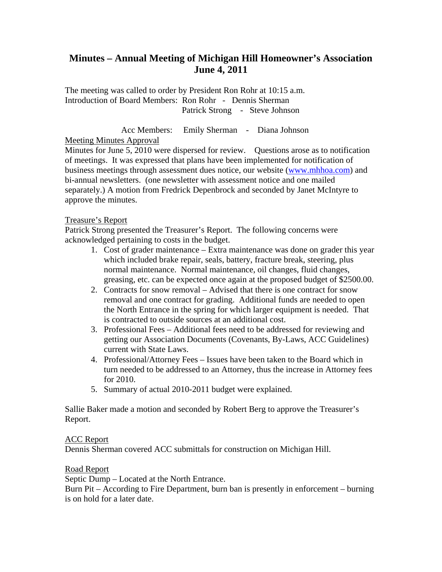# **Minutes – Annual Meeting of Michigan Hill Homeowner's Association June 4, 2011**

The meeting was called to order by President Ron Rohr at 10:15 a.m. Introduction of Board Members: Ron Rohr - Dennis Sherman Patrick Strong - Steve Johnson

 Acc Members: Emily Sherman - Diana Johnson Meeting Minutes Approval

Minutes for June 5, 2010 were dispersed for review. Questions arose as to notification of meetings. It was expressed that plans have been implemented for notification of business meetings through assessment dues notice, our website (www.mhhoa.com) and bi-annual newsletters. (one newsletter with assessment notice and one mailed separately.) A motion from Fredrick Depenbrock and seconded by Janet McIntyre to approve the minutes.

## Treasure's Report

Patrick Strong presented the Treasurer's Report. The following concerns were acknowledged pertaining to costs in the budget.

- 1. Cost of grader maintenance Extra maintenance was done on grader this year which included brake repair, seals, battery, fracture break, steering, plus normal maintenance. Normal maintenance, oil changes, fluid changes, greasing, etc. can be expected once again at the proposed budget of \$2500.00.
- 2. Contracts for snow removal Advised that there is one contract for snow removal and one contract for grading. Additional funds are needed to open the North Entrance in the spring for which larger equipment is needed. That is contracted to outside sources at an additional cost.
- 3. Professional Fees Additional fees need to be addressed for reviewing and getting our Association Documents (Covenants, By-Laws, ACC Guidelines) current with State Laws.
- 4. Professional/Attorney Fees Issues have been taken to the Board which in turn needed to be addressed to an Attorney, thus the increase in Attorney fees for 2010.
- 5. Summary of actual 2010-2011 budget were explained.

Sallie Baker made a motion and seconded by Robert Berg to approve the Treasurer's Report.

## ACC Report

Dennis Sherman covered ACC submittals for construction on Michigan Hill.

## Road Report

Septic Dump – Located at the North Entrance.

Burn Pit – According to Fire Department, burn ban is presently in enforcement – burning is on hold for a later date.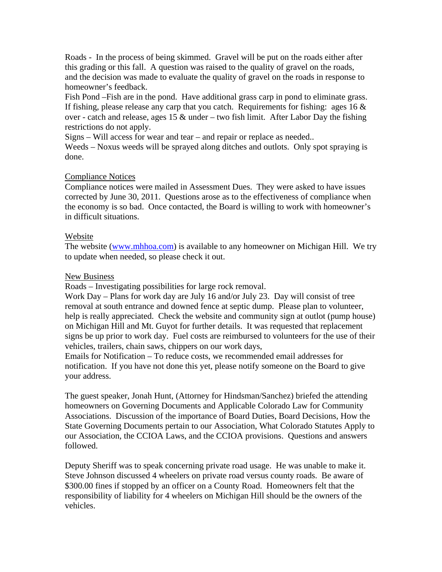Roads - In the process of being skimmed. Gravel will be put on the roads either after this grading or this fall. A question was raised to the quality of gravel on the roads, and the decision was made to evaluate the quality of gravel on the roads in response to homeowner's feedback.

Fish Pond –Fish are in the pond. Have additional grass carp in pond to eliminate grass. If fishing, please release any carp that you catch. Requirements for fishing: ages  $16 \&$ over - catch and release, ages 15  $\&$  under – two fish limit. After Labor Day the fishing restrictions do not apply.

Signs – Will access for wear and tear – and repair or replace as needed..

Weeds – Noxus weeds will be sprayed along ditches and outlots. Only spot spraying is done.

## Compliance Notices

Compliance notices were mailed in Assessment Dues. They were asked to have issues corrected by June 30, 2011. Questions arose as to the effectiveness of compliance when the economy is so bad. Once contacted, the Board is willing to work with homeowner's in difficult situations.

## Website

The website (www.mhhoa.com) is available to any homeowner on Michigan Hill. We try to update when needed, so please check it out.

## New Business

Roads – Investigating possibilities for large rock removal.

Work Day – Plans for work day are July 16 and/or July 23. Day will consist of tree removal at south entrance and downed fence at septic dump. Please plan to volunteer, help is really appreciated. Check the website and community sign at outlot (pump house) on Michigan Hill and Mt. Guyot for further details. It was requested that replacement signs be up prior to work day. Fuel costs are reimbursed to volunteers for the use of their vehicles, trailers, chain saws, chippers on our work days,

Emails for Notification – To reduce costs, we recommended email addresses for notification. If you have not done this yet, please notify someone on the Board to give your address.

The guest speaker, Jonah Hunt, (Attorney for Hindsman/Sanchez) briefed the attending homeowners on Governing Documents and Applicable Colorado Law for Community Associations. Discussion of the importance of Board Duties, Board Decisions, How the State Governing Documents pertain to our Association, What Colorado Statutes Apply to our Association, the CCIOA Laws, and the CCIOA provisions. Questions and answers followed.

Deputy Sheriff was to speak concerning private road usage. He was unable to make it. Steve Johnson discussed 4 wheelers on private road versus county roads. Be aware of \$300.00 fines if stopped by an officer on a County Road. Homeowners felt that the responsibility of liability for 4 wheelers on Michigan Hill should be the owners of the vehicles.